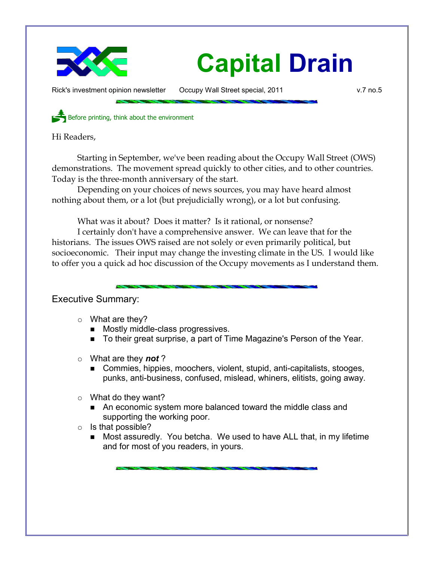

Rick's investment opinion newsletter Occupy Wall Street special, 2011 v.7 no.5

Before printing, think about the environment

Hi Readers,

Starting in September, we've been reading about the Occupy Wall Street (OWS) demonstrations. The movement spread quickly to other cities, and to other countries. Today is the three-month anniversary of the start.

Depending on your choices of news sources, you may have heard almost nothing about them, or a lot (but prejudicially wrong), or a lot but confusing.

What was it about? Does it matter? Is it rational, or nonsense?

I certainly don't have a comprehensive answer. We can leave that for the historians. The issues OWS raised are not solely or even primarily political, but socioeconomic. Their input may change the investing climate in the US. I would like to offer you a quick ad hoc discussion of the Occupy movements as I understand them.

Executive Summary:

- $\circ$  What are they?
	- Mostly middle-class progressives.
	- To their great surprise, a part of Time Magazine's Person of the Year.
- What are they *not* ?
	- Commies, hippies, moochers, violent, stupid, anti-capitalists, stooges, punks, anti-business, confused, mislead, whiners, elitists, going away.
- What do they want?
	- An economic system more balanced toward the middle class and supporting the working poor.
- Is that possible?
	- Most assuredly. You betcha. We used to have ALL that, in my lifetime and for most of you readers, in yours.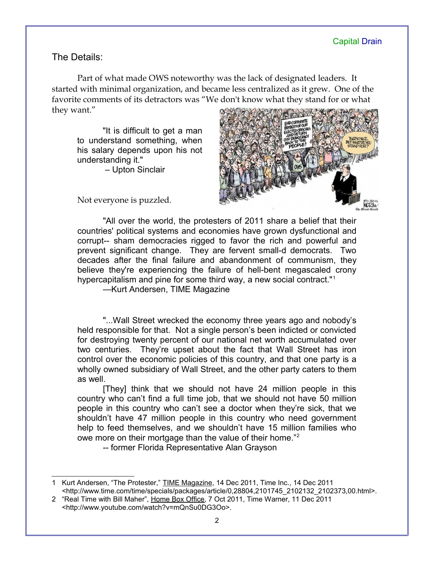## The Details:

Part of what made OWS noteworthy was the lack of designated leaders. It started with minimal organization, and became less centralized as it grew. One of the favorite comments of its detractors was "We don't know what they stand for or what they want."

"It is difficult to get a man to understand something, when his salary depends upon his not understanding it."

– Upton Sinclair



Not everyone is puzzled.

"All over the world, the protesters of 2011 share a belief that their countries' political systems and economies have grown dysfunctional and corrupt-- sham democracies rigged to favor the rich and powerful and prevent significant change. They are fervent small-d democrats. Two decades after the final failure and abandonment of communism, they believe they're experiencing the failure of hell-bent megascaled crony hypercapitalism and pine for some third way, a new social contract."[1](#page-1-0)

—Kurt Andersen, TIME Magazine

"...Wall Street wrecked the economy three years ago and nobody's held responsible for that. Not a single person's been indicted or convicted for destroying twenty percent of our national net worth accumulated over two centuries. They're upset about the fact that Wall Street has iron control over the economic policies of this country, and that one party is a wholly owned subsidiary of Wall Street, and the other party caters to them as well.

[They] think that we should not have 24 million people in this country who can't find a full time job, that we should not have 50 million people in this country who can't see a doctor when they're sick, that we shouldn't have 47 million people in this country who need government help to feed themselves, and we shouldn't have 15 million families who owe more on their mortgage than the value of their home."[2](#page-1-1)

-- former Florida Representative Alan Grayson

<span id="page-1-0"></span><sup>1</sup> Kurt Andersen, "The Protester," TIME Magazine, 14 Dec 2011, Time Inc., 14 Dec 2011 <http://www.time.com/time/specials/packages/article/0,28804,2101745\_2102132\_2102373,00.html>.

<span id="page-1-1"></span><sup>2</sup> "Real Time with Bill Maher", Home Box Office, 7 Oct 2011, Time Warner, 11 Dec 2011 <http://www.youtube.com/watch?v=mQnSu0DG3Oo>.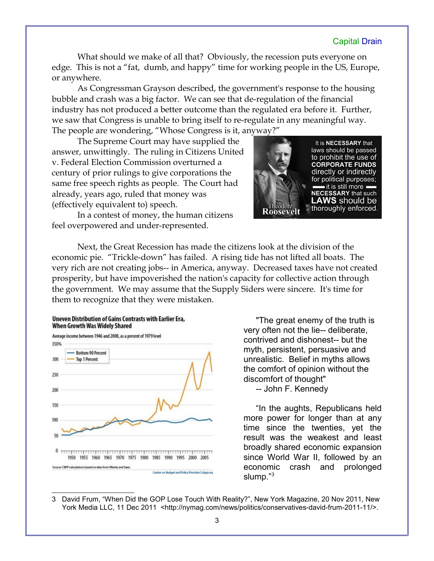What should we make of all that? Obviously, the recession puts everyone on edge. This is not a "fat, dumb, and happy" time for working people in the US, Europe, or anywhere.

As Congressman Grayson described, the government's response to the housing bubble and crash was a big factor. We can see that de-regulation of the financial industry has not produced a better outcome than the regulated era before it. Further, we saw that Congress is unable to bring itself to re-regulate in any meaningful way. The people are wondering, "Whose Congress is it, anyway?"

The Supreme Court may have supplied the answer, unwittingly. The ruling in Citizens United v. Federal Election Commission overturned a century of prior rulings to give corporations the same free speech rights as people. The Court had already, years ago, ruled that money was (effectively equivalent to) speech.



In a contest of money, the human citizens feel overpowered and under-represented.

Next, the Great Recession has made the citizens look at the division of the economic pie. "Trickle-down" has failed. A rising tide has not lifted all boats. The very rich are not creating jobs-- in America, anyway. Decreased taxes have not created prosperity, but have impoverished the nation's capacity for collective action through the government. We may assume that the Supply Siders were sincere. It's time for them to recognize that they were mistaken.

#### Uneven Distribution of Gains Contrasts with Earlier Era, When Growth Was Widely Shared



"The great enemy of the truth is very often not the lie-- deliberate, contrived and dishonest-- but the myth, persistent, persuasive and unrealistic. Belief in myths allows the comfort of opinion without the discomfort of thought" -- John F. Kennedy

"In the aughts, Republicans held more power for longer than at any time since the twenties, yet the result was the weakest and least broadly shared economic expansion since World War II, followed by an economic crash and prolonged slump."<sup>[3](#page-2-0)</sup>

<span id="page-2-0"></span>3 David Frum, "When Did the GOP Lose Touch With Reality?", New York Magazine, 20 Nov 2011, New York Media LLC, 11 Dec 2011 <http://nymag.com/news/politics/conservatives-david-frum-2011-11/>.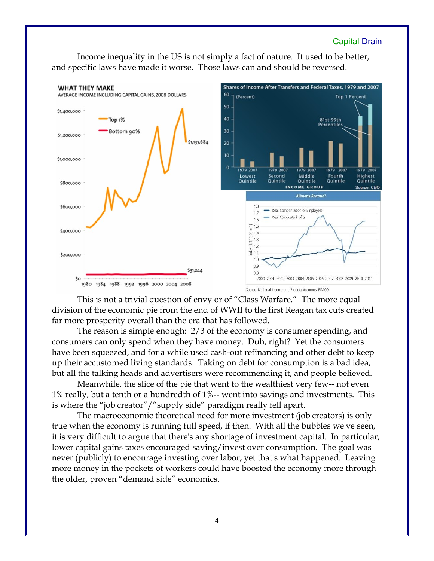Income inequality in the US is not simply a fact of nature. It used to be better, and specific laws have made it worse. Those laws can and should be reversed.



This is not a trivial question of envy or of "Class Warfare." The more equal division of the economic pie from the end of WWII to the first Reagan tax cuts created far more prosperity overall than the era that has followed.

The reason is simple enough: 2/3 of the economy is consumer spending, and consumers can only spend when they have money. Duh, right? Yet the consumers have been squeezed, and for a while used cash-out refinancing and other debt to keep up their accustomed living standards. Taking on debt for consumption is a bad idea, but all the talking heads and advertisers were recommending it, and people believed.

Meanwhile, the slice of the pie that went to the wealthiest very few-- not even 1% really, but a tenth or a hundredth of 1%-- went into savings and investments. This is where the "job creator"/"supply side" paradigm really fell apart.

The macroeconomic theoretical need for more investment (job creators) is only true when the economy is running full speed, if then. With all the bubbles we've seen, it is very difficult to argue that there's any shortage of investment capital. In particular, lower capital gains taxes encouraged saving/invest over consumption. The goal was never (publicly) to encourage investing over labor, yet that's what happened. Leaving more money in the pockets of workers could have boosted the economy more through the older, proven "demand side" economics.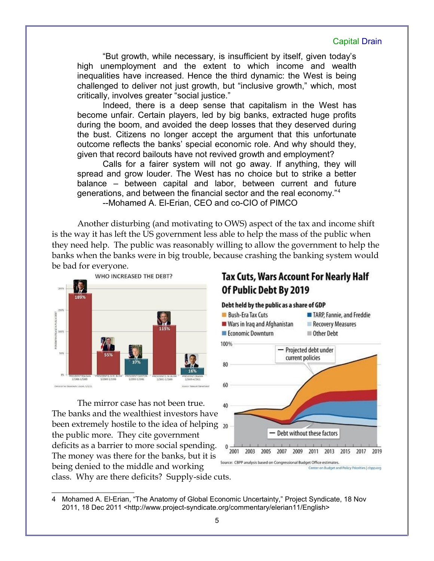"But growth, while necessary, is insufficient by itself, given today's high unemployment and the extent to which income and wealth inequalities have increased. Hence the third dynamic: the West is being challenged to deliver not just growth, but "inclusive growth," which, most critically, involves greater "social justice."

Indeed, there is a deep sense that capitalism in the West has become unfair. Certain players, led by big banks, extracted huge profits during the boom, and avoided the deep losses that they deserved during the bust. Citizens no longer accept the argument that this unfortunate outcome reflects the banks' special economic role. And why should they, given that record bailouts have not revived growth and employment?

Calls for a fairer system will not go away. If anything, they will spread and grow louder. The West has no choice but to strike a better balance – between capital and labor, between current and future generations, and between the financial sector and the real economy."[4](#page-4-0) --Mohamed A. El-Erian, CEO and co-CIO of PIMCO

Another disturbing (and motivating to OWS) aspect of the tax and income shift is the way it has left the US government less able to help the mass of the public when they need help. The public was reasonably willing to allow the government to help the banks when the banks were in big trouble, because crashing the banking system would be bad for everyone.



The mirror case has not been true. The banks and the wealthiest investors have been extremely hostile to the idea of helping <sub>20</sub> the public more. They cite government deficits as a barrier to more social spending. The money was there for the banks, but it is being denied to the middle and working class. Why are there deficits? Supply-side cuts.

## Tax Cuts, Wars Account For Nearly Half Of Public Debt By 2019



<span id="page-4-0"></span><sup>4</sup> Mohamed A. El-Erian, "The Anatomy of Global Economic Uncertainty," Project Syndicate, 18 Nov 2011, 18 Dec 2011 <http://www.project-syndicate.org/commentary/elerian11/English>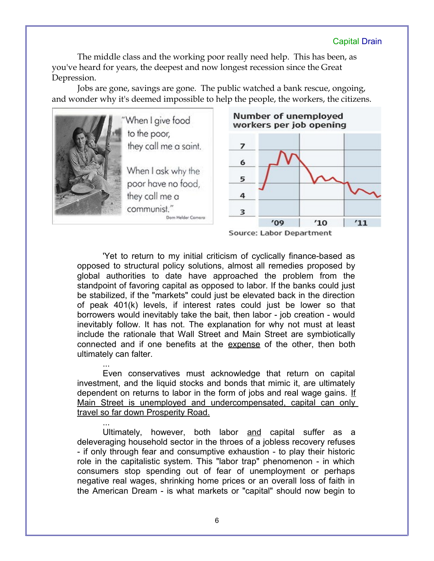The middle class and the working poor really need help. This has been, as you've heard for years, the deepest and now longest recession since the Great Depression.

Jobs are gone, savings are gone. The public watched a bank rescue, ongoing, and wonder why it's deemed impossible to help the people, the workers, the citizens.



Source: Labor Department

'Yet to return to my initial criticism of cyclically finance-based as opposed to structural policy solutions, almost all remedies proposed by global authorities to date have approached the problem from the standpoint of favoring capital as opposed to labor. If the banks could just be stabilized, if the "markets" could just be elevated back in the direction of peak 401(k) levels, if interest rates could just be lower so that borrowers would inevitably take the bait, then labor - job creation - would inevitably follow. It has not. The explanation for why not must at least include the rationale that Wall Street and Main Street are symbiotically connected and if one benefits at the expense of the other, then both ultimately can falter.

... Even conservatives must acknowledge that return on capital investment, and the liquid stocks and bonds that mimic it, are ultimately dependent on returns to labor in the form of jobs and real wage gains. If Main Street is unemployed and undercompensated, capital can only travel so far down Prosperity Road.

... Ultimately, however, both labor and capital suffer as a deleveraging household sector in the throes of a jobless recovery refuses - if only through fear and consumptive exhaustion - to play their historic role in the capitalistic system. This "labor trap" phenomenon - in which consumers stop spending out of fear of unemployment or perhaps negative real wages, shrinking home prices or an overall loss of faith in the American Dream - is what markets or "capital" should now begin to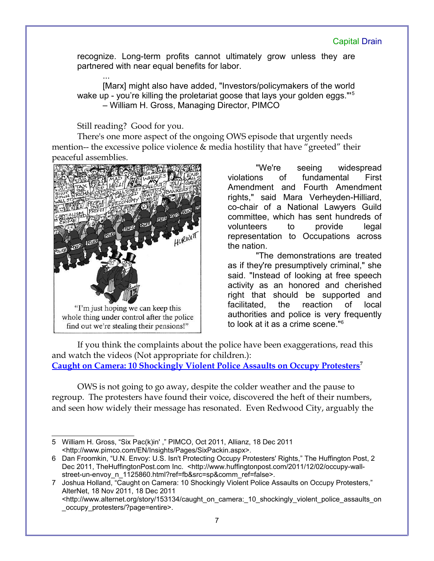recognize. Long-term profits cannot ultimately grow unless they are partnered with near equal benefits for labor.

... [Marx] might also have added, "Investors/policymakers of the world wake up - you're killing the proletariat goose that lays your golden eggs."<sup>[5](#page-6-0)</sup> – William H. Gross, Managing Director, PIMCO

## Still reading? Good for you.

There's one more aspect of the ongoing OWS episode that urgently needs mention-- the excessive police violence & media hostility that have "greeted" their peaceful assemblies.



"We're seeing widespread violations of fundamental First Amendment and Fourth Amendment rights," said Mara Verheyden-Hilliard, co-chair of a National Lawyers Guild committee, which has sent hundreds of volunteers to provide legal representation to Occupations across the nation.

"The demonstrations are treated as if they're presumptively criminal," she said. "Instead of looking at free speech activity as an honored and cherished right that should be supported and facilitated, the reaction of local authorities and police is very frequently to look at it as a crime scene."[6](#page-6-1)

If you think the complaints about the police have been exaggerations, read this and watch the videos (Not appropriate for children.): **[Caught on Camera: 10 Shockingly Violent Police Assaults on Occupy Protesters](http://www.alternet.org/story/153134/caught_on_camera:_10_shockingly_violent_police_assaults_on_occupy_protesters/?page=entire)[7](#page-6-2)**

OWS is not going to go away, despite the colder weather and the pause to regroup. The protesters have found their voice, discovered the heft of their numbers, and seen how widely their message has resonated. Even Redwood City, arguably the

<span id="page-6-0"></span><sup>5</sup> William H. Gross, "Six Pac(k)in' ," PIMCO, Oct 2011, Allianz, 18 Dec 2011 <http://www.pimco.com/EN/Insights/Pages/SixPackin.aspx>.

<span id="page-6-1"></span><sup>6</sup> Dan Froomkin, "U.N. Envoy: U.S. Isn't Protecting Occupy Protesters' Rights," The Huffington Post, 2 Dec 2011, TheHuffingtonPost.com Inc. <http://www.huffingtonpost.com/2011/12/02/occupy-wallstreet-un-envoy\_n\_1125860.html?ref=fb&src=sp&comm\_ref=false>.

<span id="page-6-2"></span><sup>7</sup> Joshua Holland, "Caught on Camera: 10 Shockingly Violent Police Assaults on Occupy Protesters," AlterNet, 18 Nov 2011, 18 Dec 2011

<sup>&</sup>lt;http://www.alternet.org/story/153134/caught\_on\_camera:\_10\_shockingly\_violent\_police\_assaults\_on occupy protesters/?page=entire>.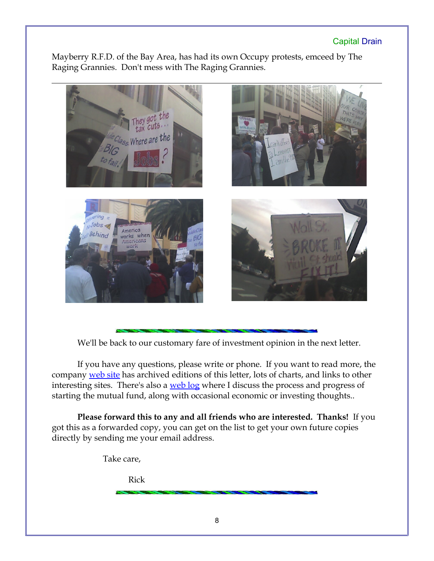Mayberry R.F.D. of the Bay Area, has had its own Occupy protests, emceed by The Raging Grannies. Don't mess with The Raging Grannies.



We'll be back to our customary fare of investment opinion in the next letter.

If you have any questions, please write or phone. If you want to read more, the company [web site](http://www.LongspliceInvest.com/newsletter.shtml) has archived editions of this letter, lots of charts, and links to other interesting sites. There's also a [web log](http://www.LongspliceInvestments.com/ricksblog) where I discuss the process and progress of starting the mutual fund, along with occasional economic or investing thoughts..

**Please forward this to any and all friends who are interested. Thanks!** If you got this as a forwarded copy, you can get on the list to get your own future copies directly by sending me your email address.

Take care,

Rick